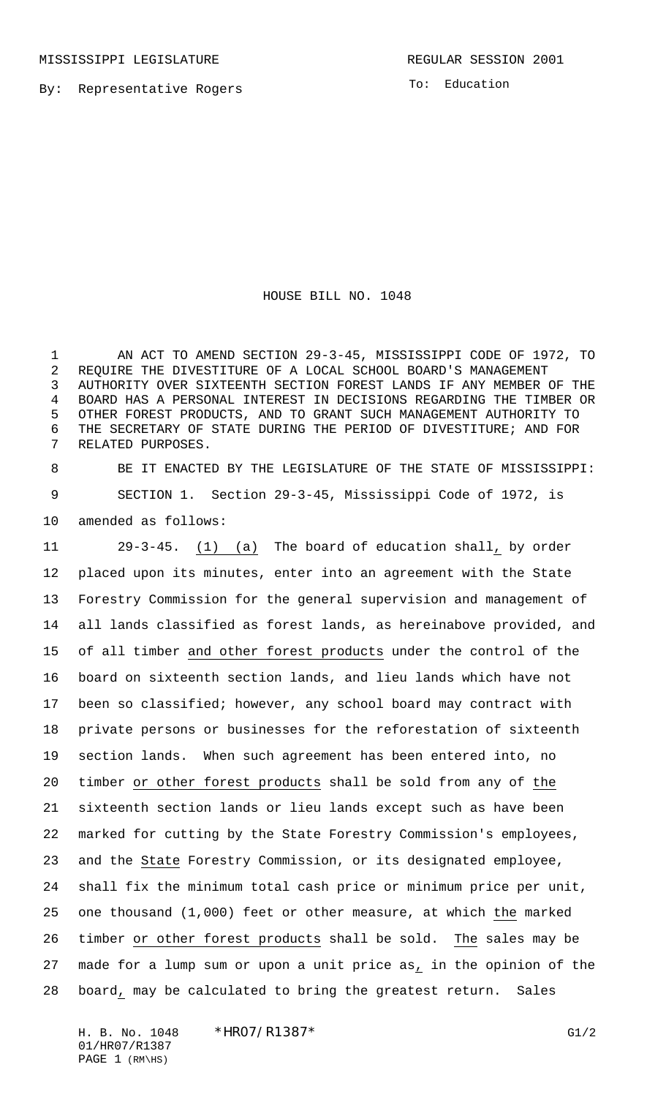By: Representative Rogers

To: Education

HOUSE BILL NO. 1048

 AN ACT TO AMEND SECTION 29-3-45, MISSISSIPPI CODE OF 1972, TO REQUIRE THE DIVESTITURE OF A LOCAL SCHOOL BOARD'S MANAGEMENT AUTHORITY OVER SIXTEENTH SECTION FOREST LANDS IF ANY MEMBER OF THE BOARD HAS A PERSONAL INTEREST IN DECISIONS REGARDING THE TIMBER OR OTHER FOREST PRODUCTS, AND TO GRANT SUCH MANAGEMENT AUTHORITY TO THE SECRETARY OF STATE DURING THE PERIOD OF DIVESTITURE; AND FOR RELATED PURPOSES.

 BE IT ENACTED BY THE LEGISLATURE OF THE STATE OF MISSISSIPPI: 9 SECTION 1. Section 29-3-45, Mississippi Code of 1972, is amended as follows:

 29-3-45. (1) (a) The board of education shall, by order placed upon its minutes, enter into an agreement with the State Forestry Commission for the general supervision and management of all lands classified as forest lands, as hereinabove provided, and of all timber and other forest products under the control of the board on sixteenth section lands, and lieu lands which have not been so classified; however, any school board may contract with private persons or businesses for the reforestation of sixteenth section lands. When such agreement has been entered into, no timber or other forest products shall be sold from any of the sixteenth section lands or lieu lands except such as have been marked for cutting by the State Forestry Commission's employees, and the State Forestry Commission, or its designated employee, shall fix the minimum total cash price or minimum price per unit, one thousand (1,000) feet or other measure, at which the marked timber or other forest products shall be sold. The sales may be 27 made for a lump sum or upon a unit price as, in the opinion of the board, may be calculated to bring the greatest return. Sales

H. B. No. 1048 \*HRO7/R1387\* G1/2 01/HR07/R1387 PAGE (RM\HS)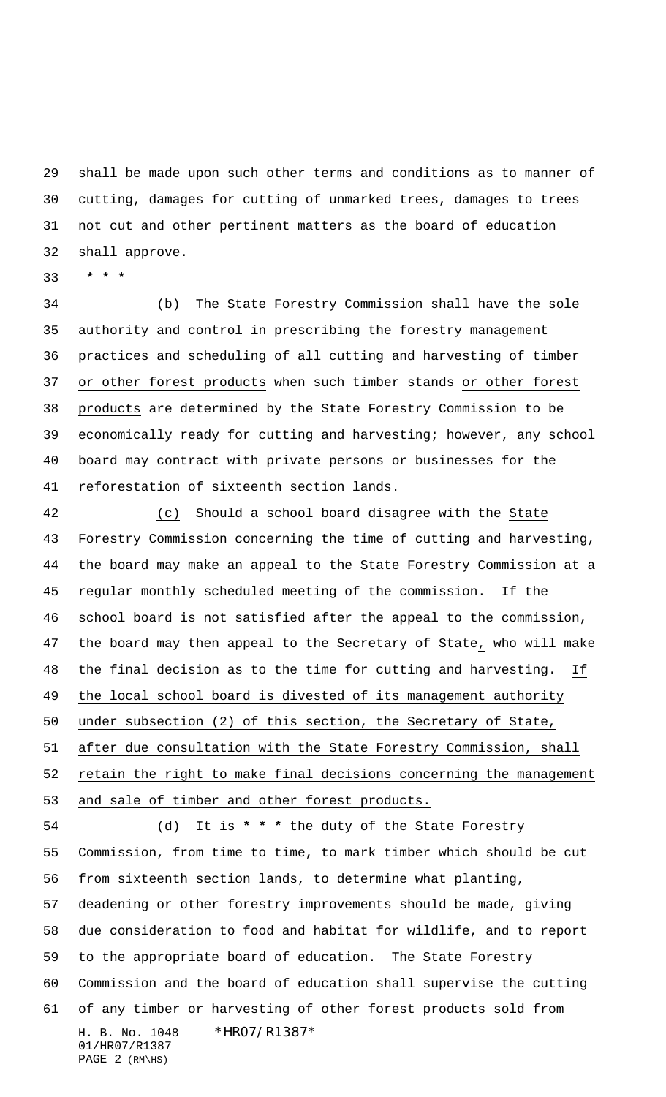shall be made upon such other terms and conditions as to manner of cutting, damages for cutting of unmarked trees, damages to trees not cut and other pertinent matters as the board of education shall approve.

 **\* \* \***

 (b) The State Forestry Commission shall have the sole authority and control in prescribing the forestry management practices and scheduling of all cutting and harvesting of timber or other forest products when such timber stands or other forest products are determined by the State Forestry Commission to be economically ready for cutting and harvesting; however, any school board may contract with private persons or businesses for the reforestation of sixteenth section lands.

 (c) Should a school board disagree with the State Forestry Commission concerning the time of cutting and harvesting, the board may make an appeal to the State Forestry Commission at a regular monthly scheduled meeting of the commission. If the school board is not satisfied after the appeal to the commission, the board may then appeal to the Secretary of State, who will make the final decision as to the time for cutting and harvesting. If the local school board is divested of its management authority under subsection (2) of this section, the Secretary of State, after due consultation with the State Forestry Commission, shall retain the right to make final decisions concerning the management and sale of timber and other forest products. (d) It is **\* \* \*** the duty of the State Forestry Commission, from time to time, to mark timber which should be cut from sixteenth section lands, to determine what planting, deadening or other forestry improvements should be made, giving due consideration to food and habitat for wildlife, and to report to the appropriate board of education. The State Forestry Commission and the board of education shall supervise the cutting 61 of any timber or harvesting of other forest products sold from

H. B. No. 1048 \*HR07/R1387\* 01/HR07/R1387 PAGE (RM\HS)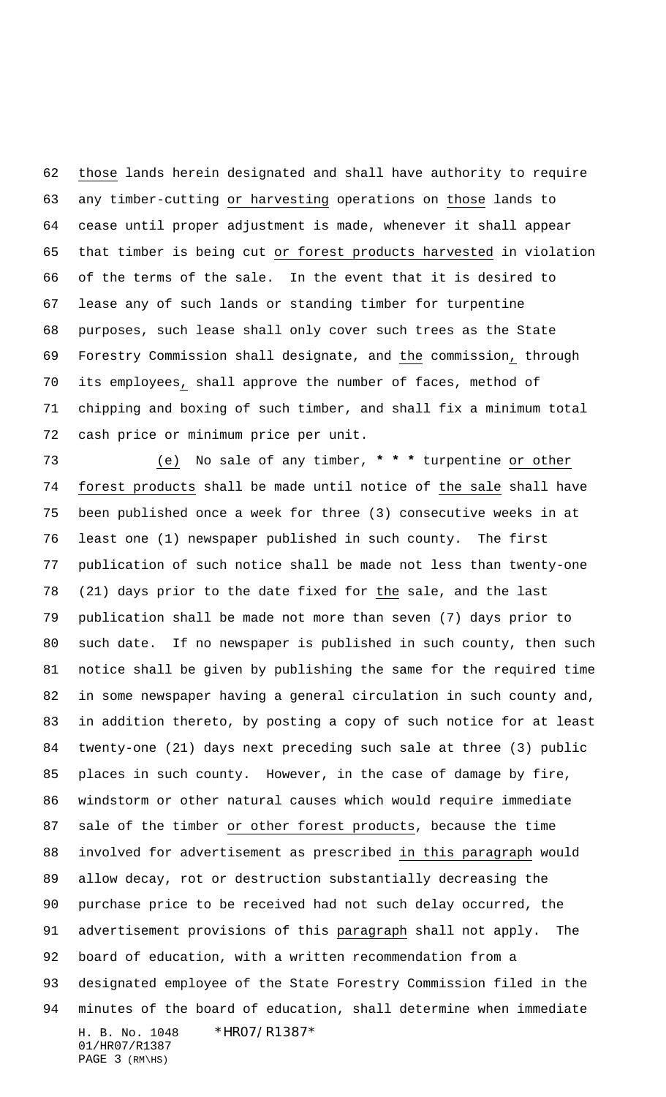those lands herein designated and shall have authority to require any timber-cutting or harvesting operations on those lands to cease until proper adjustment is made, whenever it shall appear that timber is being cut or forest products harvested in violation of the terms of the sale. In the event that it is desired to lease any of such lands or standing timber for turpentine purposes, such lease shall only cover such trees as the State Forestry Commission shall designate, and the commission, through its employees, shall approve the number of faces, method of chipping and boxing of such timber, and shall fix a minimum total cash price or minimum price per unit.

H. B. No. 1048 \*HR07/R1387\* 01/HR07/R1387 (e) No sale of any timber, **\* \* \*** turpentine or other forest products shall be made until notice of the sale shall have been published once a week for three (3) consecutive weeks in at least one (1) newspaper published in such county. The first publication of such notice shall be made not less than twenty-one (21) days prior to the date fixed for the sale, and the last publication shall be made not more than seven (7) days prior to such date. If no newspaper is published in such county, then such notice shall be given by publishing the same for the required time in some newspaper having a general circulation in such county and, in addition thereto, by posting a copy of such notice for at least twenty-one (21) days next preceding such sale at three (3) public places in such county. However, in the case of damage by fire, windstorm or other natural causes which would require immediate sale of the timber or other forest products, because the time involved for advertisement as prescribed in this paragraph would allow decay, rot or destruction substantially decreasing the purchase price to be received had not such delay occurred, the advertisement provisions of this paragraph shall not apply. The board of education, with a written recommendation from a designated employee of the State Forestry Commission filed in the minutes of the board of education, shall determine when immediate

PAGE (RM\HS)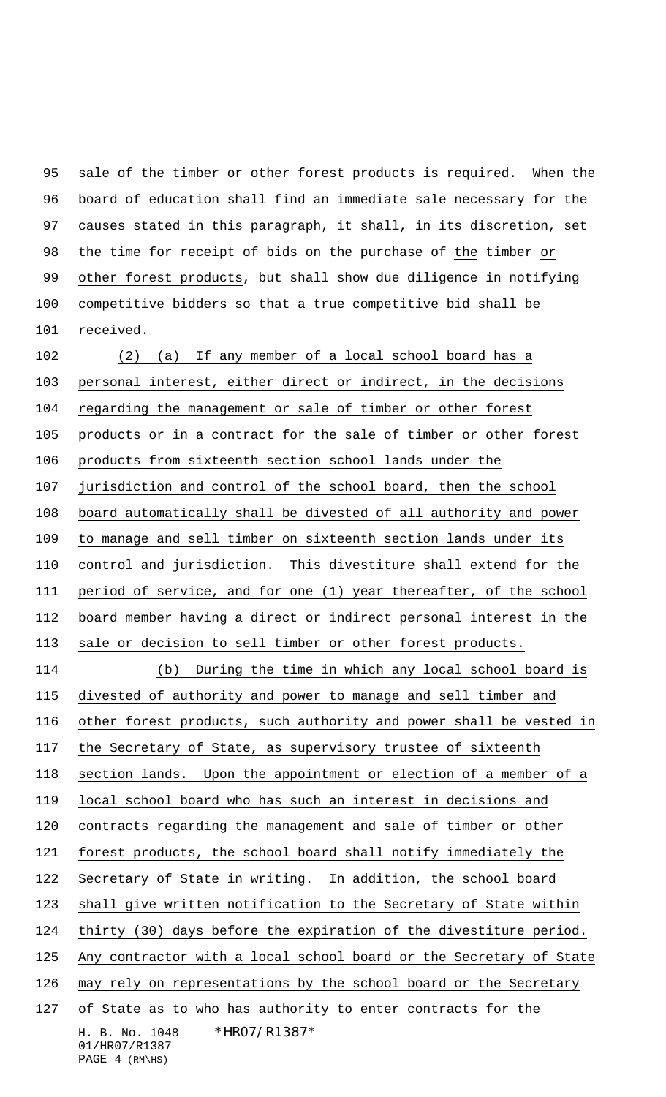sale of the timber or other forest products is required. When the board of education shall find an immediate sale necessary for the 97 causes stated in this paragraph, it shall, in its discretion, set the time for receipt of bids on the purchase of the timber or 99 other forest products, but shall show due diligence in notifying competitive bidders so that a true competitive bid shall be received.

H. B. No. 1048 \*HR07/R1387\* 01/HR07/R1387 PAGE (RM\HS) (2) (a) If any member of a local school board has a personal interest, either direct or indirect, in the decisions regarding the management or sale of timber or other forest products or in a contract for the sale of timber or other forest products from sixteenth section school lands under the jurisdiction and control of the school board, then the school board automatically shall be divested of all authority and power to manage and sell timber on sixteenth section lands under its control and jurisdiction. This divestiture shall extend for the period of service, and for one (1) year thereafter, of the school board member having a direct or indirect personal interest in the sale or decision to sell timber or other forest products. (b) During the time in which any local school board is divested of authority and power to manage and sell timber and other forest products, such authority and power shall be vested in the Secretary of State, as supervisory trustee of sixteenth section lands. Upon the appointment or election of a member of a local school board who has such an interest in decisions and contracts regarding the management and sale of timber or other forest products, the school board shall notify immediately the Secretary of State in writing. In addition, the school board shall give written notification to the Secretary of State within thirty (30) days before the expiration of the divestiture period. Any contractor with a local school board or the Secretary of State 126 may rely on representations by the school board or the Secretary of State as to who has authority to enter contracts for the